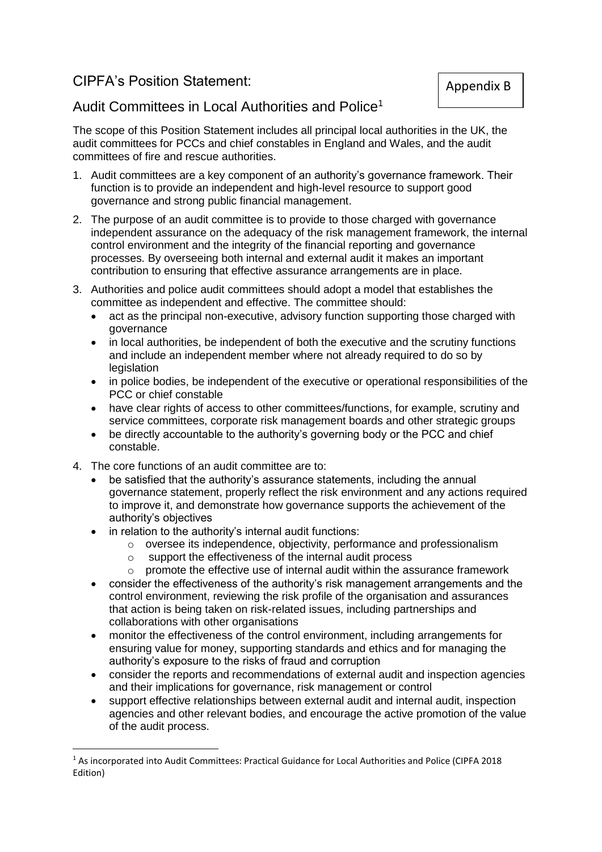## CIPFA's Position Statement:

## Audit Committees in Local Authorities and Police<sup>1</sup>

The scope of this Position Statement includes all principal local authorities in the UK, the audit committees for PCCs and chief constables in England and Wales, and the audit committees of fire and rescue authorities.

- 1. Audit committees are a key component of an authority's governance framework. Their function is to provide an independent and high-level resource to support good governance and strong public financial management.
- 2. The purpose of an audit committee is to provide to those charged with governance independent assurance on the adequacy of the risk management framework, the internal control environment and the integrity of the financial reporting and governance processes. By overseeing both internal and external audit it makes an important contribution to ensuring that effective assurance arrangements are in place.
- 3. Authorities and police audit committees should adopt a model that establishes the committee as independent and effective. The committee should:
	- act as the principal non-executive, advisory function supporting those charged with governance
	- in local authorities, be independent of both the executive and the scrutiny functions and include an independent member where not already required to do so by legislation
	- in police bodies, be independent of the executive or operational responsibilities of the PCC or chief constable
	- have clear rights of access to other committees/functions, for example, scrutiny and service committees, corporate risk management boards and other strategic groups
	- be directly accountable to the authority's governing body or the PCC and chief constable.
- 4. The core functions of an audit committee are to:

**.** 

- be satisfied that the authority's assurance statements, including the annual governance statement, properly reflect the risk environment and any actions required to improve it, and demonstrate how governance supports the achievement of the authority's objectives
- in relation to the authority's internal audit functions:
	- o oversee its independence, objectivity, performance and professionalism
	- o support the effectiveness of the internal audit process
		- $\circ$  promote the effective use of internal audit within the assurance framework
- consider the effectiveness of the authority's risk management arrangements and the control environment, reviewing the risk profile of the organisation and assurances that action is being taken on risk-related issues, including partnerships and collaborations with other organisations
- monitor the effectiveness of the control environment, including arrangements for ensuring value for money, supporting standards and ethics and for managing the authority's exposure to the risks of fraud and corruption
- consider the reports and recommendations of external audit and inspection agencies and their implications for governance, risk management or control
- support effective relationships between external audit and internal audit, inspection agencies and other relevant bodies, and encourage the active promotion of the value of the audit process.

<sup>1</sup> As incorporated into Audit Committees: Practical Guidance for Local Authorities and Police (CIPFA 2018 Edition)